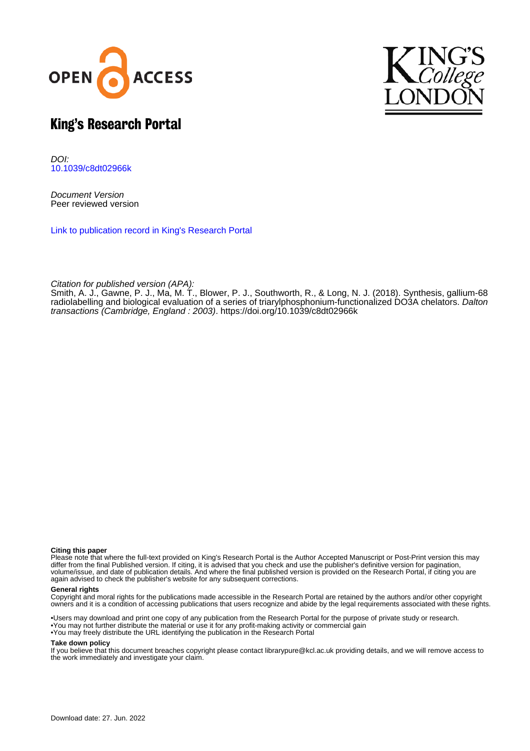



## King's Research Portal

DOI: [10.1039/c8dt02966k](https://doi.org/10.1039/c8dt02966k)

Document Version Peer reviewed version

[Link to publication record in King's Research Portal](https://kclpure.kcl.ac.uk/portal/en/publications/synthesis-gallium68-radiolabelling-and-biological-evaluation-of-a-series-of-triarylphosphoniumfunctionalized-do3a-chelators(ac1bc245-02d2-493b-88c4-76a95d751298).html)

Citation for published version (APA):

[Smith, A. J.](https://kclpure.kcl.ac.uk/portal/en/persons/adam-smith(29f3a5a4-25ca-4b47-9cbd-86b72f310bd6).html)[, Gawne, P. J.](https://kclpure.kcl.ac.uk/portal/en/persons/peter-gawne(f1a10e46-5f61-420c-949d-613ba4d84cdf).html)[, Ma, M. T.](/portal/michelle.ma.html)[, Blower, P. J.](/portal/philip.blower.html)[, Southworth, R.](https://kclpure.kcl.ac.uk/portal/en/persons/richard-southworth(58e9c1eb-de4f-4463-96a6-11c753bec210).html), & Long, N. J. (2018). [Synthesis, gallium-68](https://kclpure.kcl.ac.uk/portal/en/publications/synthesis-gallium68-radiolabelling-and-biological-evaluation-of-a-series-of-triarylphosphoniumfunctionalized-do3a-chelators(ac1bc245-02d2-493b-88c4-76a95d751298).html) [radiolabelling and biological evaluation of a series of triarylphosphonium-functionalized DO3A chelators](https://kclpure.kcl.ac.uk/portal/en/publications/synthesis-gallium68-radiolabelling-and-biological-evaluation-of-a-series-of-triarylphosphoniumfunctionalized-do3a-chelators(ac1bc245-02d2-493b-88c4-76a95d751298).html). *[Dalton](https://kclpure.kcl.ac.uk/portal/en/journals/dalton-transactions-cambridge-england--2003(52b80e34-4b90-4239-842d-cb625448310e).html)* [transactions \(Cambridge, England : 2003\)](https://kclpure.kcl.ac.uk/portal/en/journals/dalton-transactions-cambridge-england--2003(52b80e34-4b90-4239-842d-cb625448310e).html). <https://doi.org/10.1039/c8dt02966k>

#### **Citing this paper**

Please note that where the full-text provided on King's Research Portal is the Author Accepted Manuscript or Post-Print version this may differ from the final Published version. If citing, it is advised that you check and use the publisher's definitive version for pagination, volume/issue, and date of publication details. And where the final published version is provided on the Research Portal, if citing you are again advised to check the publisher's website for any subsequent corrections.

#### **General rights**

Copyright and moral rights for the publications made accessible in the Research Portal are retained by the authors and/or other copyright owners and it is a condition of accessing publications that users recognize and abide by the legal requirements associated with these rights.

•Users may download and print one copy of any publication from the Research Portal for the purpose of private study or research. •You may not further distribute the material or use it for any profit-making activity or commercial gain •You may freely distribute the URL identifying the publication in the Research Portal

#### **Take down policy**

If you believe that this document breaches copyright please contact librarypure@kcl.ac.uk providing details, and we will remove access to the work immediately and investigate your claim.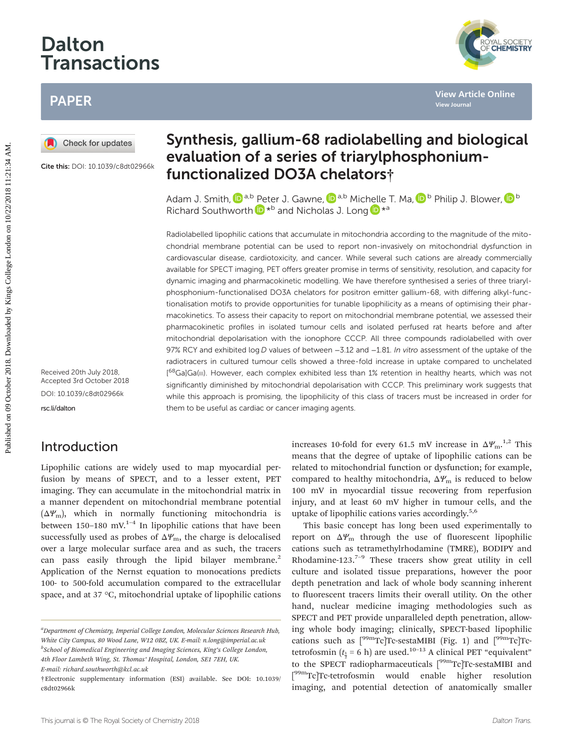# Dalton Transactions

## PAPER

Cite this: DOI: 10.1039/c8dt02966k

Received 20th July 2018, Accepted 3rd October 2018 DOI: 10.1039/c8dt02966k [rsc.li/dalton](www.rsc.li/dalton)

### Introduction

Lipophilic cations are widely used to map myocardial perfusion by means of SPECT, and to a lesser extent, PET imaging. They can accumulate in the mitochondrial matrix in a manner dependent on mitochondrial membrane potential  $(\Delta \Psi_{\rm m})$ , which in normally functioning mitochondria is between 150–180 mV. $1-4$  In lipophilic cations that have been successfully used as probes of  $\Delta \varPsi_m$ , the charge is delocalised over a large molecular surface area and as such, the tracers can pass easily through the lipid bilayer membrane.<sup>2</sup> Application of the Nernst equation to monocations predicts 100- to 500-fold accumulation compared to the extracellular space, and at 37 °C, mitochondrial uptake of lipophilic cations

## Synthesis, gallium-68 radiolabelling and biological evaluation of a series of triarylphosphoniumfunctionalized DO3A chelators†

Adam J. Smith,  $\mathbf{D}^{a,b}$  [Pe](http://orcid.org/0000-0002-7904-8335)ter J. Gawne,  $\mathbf{D}^{a,b}$  Mic[hell](http://orcid.org/0000-0002-8298-938X)e T. Ma,  $\mathbf{D}^{b}$  Philip J. Blower,  $\mathbf{D}^{b}$ Richard Southworth  $\mathbf{D}^{*b}$  and Nicholas J. Long  $\mathbf{D}^{*a}$ 

Radiolabelled lipophilic cations that accumulate in mitochondria according to the magnitude of the mitochondrial membrane potential can be used to report non-invasively on mitochondrial dysfunction in cardiovascular disease, cardiotoxicity, and cancer. While several such cations are already commercially available for SPECT imaging, PET offers greater promise in terms of sensitivity, resolution, and capacity for dynamic imaging and pharmacokinetic modelling. We have therefore synthesised a series of three triarylphosphonium-functionalised DO3A chelators for positron emitter gallium-68, with differing alkyl-functionalisation motifs to provide opportunities for tunable lipophilicity as a means of optimising their pharmacokinetics. To assess their capacity to report on mitochondrial membrane potential, we assessed their pharmacokinetic profiles in isolated tumour cells and isolated perfused rat hearts before and after mitochondrial depolarisation with the ionophore CCCP. All three compounds radiolabelled with over 97% RCY and exhibited log D values of between -3.12 and -1.81. In vitro assessment of the uptake of the radiotracers in cultured tumour cells showed a three-fold increase in uptake compared to unchelated [<sup>68</sup>Ga]Ga(III). However, each complex exhibited less than 1% retention in healthy hearts, which was not significantly diminished by mitochondrial depolarisation with CCCP. This preliminary work suggests that while this approach is promising, the lipophilicity of this class of tracers must be increased in order for them to be useful as cardiac or cancer imaging agents. **PAPER**<br> **Published on 09 October 2018. Synthesis, gallium-68 radiolabelling and biologic<br>
cive this DOL DUSTR-20032000 eValuation of a series of triary/lphosphonium-<br>
Education of a series of triary/lphosphonium-<br>
Richar** 

increases 10-fold for every 61.5 mV increase in  $\Delta \varPsi_{\rm m}$ .<sup>1,2</sup> This means that the degree of uptake of lipophilic cations can be related to mitochondrial function or dysfunction; for example, compared to healthy mitochondria,  $\Delta \Psi_{\text{m}}$  is reduced to below 100 mV in myocardial tissue recovering from reperfusion injury, and at least 60 mV higher in tumour cells, and the uptake of lipophilic cations varies accordingly. $5,6$ 

This basic concept has long been used experimentally to report on  $\Delta Y_m$  through the use of fluorescent lipophilic cations such as tetramethylrhodamine (TMRE), BODIPY and Rhodamine-123.<sup>7-9</sup> These tracers show great utility in cell culture and isolated tissue preparations, however the poor depth penetration and lack of whole body scanning inherent to fluorescent tracers limits their overall utility. On the other hand, nuclear medicine imaging methodologies such as SPECT and PET provide unparalleled depth penetration, allowing whole body imaging; clinically, SPECT-based lipophilic cations such as  $[{}^{99m}Te]Tc$ -sestaMIBI (Fig. 1) and  $[{}^{99m}Te]Tc$ tetrofosmin ( $t_{\frac{1}{2}}$  = 6 h) are used.<sup>10-13</sup> A clinical PET "equivalent" to the SPECT radiopharmaceuticals [<sup>99m</sup>Tc]Tc-sestaMIBI and [<sup>99m</sup>Tc]Tc-tetrofosmin would enable higher resolution imaging, and potential detection of anatomically smaller



<sup>&</sup>lt;sup>a</sup>Department of Chemistry, Imperial College London, Molecular Sciences Research Hub, White City Campus, 80 Wood Lane, W12 0BZ, UK. E-mail: n.long@imperial.ac.uk <sup>b</sup>School of Biomedical Engineering and Imaging Sciences, King's College London, 4th Floor Lambeth Wing, St. Thomas' Hospital, London, SE1 7EH, UK. E-mail: richard.southworth@kcl.ac.uk

<sup>†</sup>Electronic supplementary information (ESI) available. See DOI: 10.1039/ c8dt02966k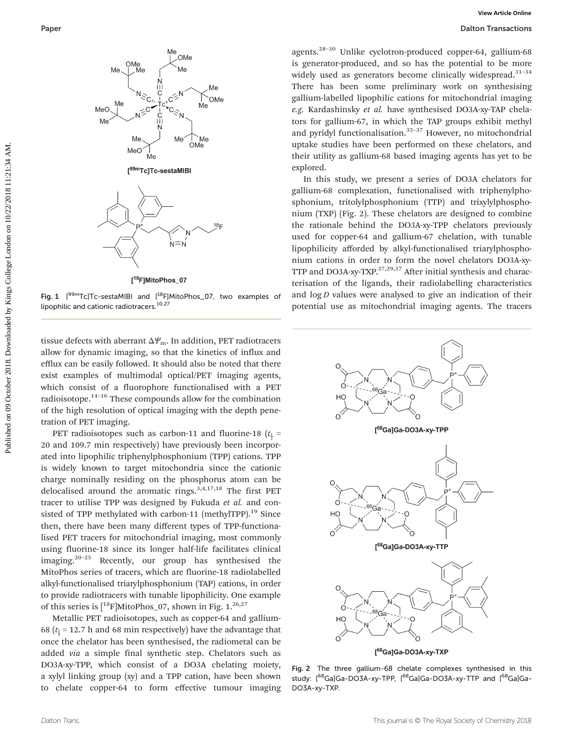

Fig. 1 [<sup>99m</sup>Tc]Tc-sestaMIBI and [<sup>18</sup>F]MitoPhos\_07, two examples of lipophilic and cationic radiotracers.<sup>10,27</sup>

tissue defects with aberrant  $\Delta \varPsi_m$ . In addition, PET radiotracers allow for dynamic imaging, so that the kinetics of influx and efflux can be easily followed. It should also be noted that there exist examples of multimodal optical/PET imaging agents, which consist of a fluorophore functionalised with a PET radioisotope. $14-16$  These compounds allow for the combination of the high resolution of optical imaging with the depth penetration of PET imaging.

PET radioisotopes such as carbon-11 and fluorine-18 ( $t_{\frac{1}{2}}$  = 20 and 109.7 min respectively) have previously been incorporated into lipophilic triphenylphosphonium (TPP) cations. TPP is widely known to target mitochondria since the cationic charge nominally residing on the phosphorus atom can be delocalised around the aromatic rings. $3,4,17,18$  The first PET tracer to utilise TPP was designed by Fukuda et al. and consisted of TPP methylated with carbon-11 (methylTPP).<sup>19</sup> Since then, there have been many different types of TPP-functionalised PET tracers for mitochondrial imaging, most commonly using fluorine-18 since its longer half-life facilitates clinical imaging.<sup>20–25</sup> Recently, our group has synthesised the MitoPhos series of tracers, which are fluorine-18 radiolabelled alkyl-functionalised triarylphosphonium (TAP) cations, in order to provide radiotracers with tunable lipophilicity. One example of this series is  $[{}^{18}F]$ MitoPhos\_07, shown in Fig. 1.<sup>26,27</sup>

Metallic PET radioisotopes, such as copper-64 and gallium-68 ( $t_{\frac{1}{2}}$  = 12.7 h and 68 min respectively) have the advantage that once the chelator has been synthesised, the radiometal can be added via a simple final synthetic step. Chelators such as DO3A-xy-TPP, which consist of a DO3A chelating moiety, a xylyl linking group (xy) and a TPP cation, have been shown to chelate copper-64 to form effective tumour imaging

agents.28–<sup>30</sup> Unlike cyclotron-produced copper-64, gallium-68 is generator-produced, and so has the potential to be more widely used as generators become clinically widespread.<sup>31-34</sup> There has been some preliminary work on synthesising gallium-labelled lipophilic cations for mitochondrial imaging e.g. Kardashinsky et al. have synthesised DO3A-xy-TAP chelators for gallium-67, in which the TAP groups exhibit methyl and pyridyl functionalisation. $35-37$  However, no mitochondrial uptake studies have been performed on these chelators, and their utility as gallium-68 based imaging agents has yet to be explored.

In this study, we present a series of DO3A chelators for gallium-68 complexation, functionalised with triphenylphosphonium, tritolylphosphonium (TTP) and trixylylphosphonium (TXP) (Fig. 2). These chelators are designed to combine the rationale behind the DO3A-xy-TPP chelators previously used for copper-64 and gallium-67 chelation, with tunable lipophilicity afforded by alkyl-functionalised triarylphosphonium cations in order to form the novel chelators DO3A-xy-TTP and DO3A-xy-TXP. $27,29,37$  After initial synthesis and characterisation of the ligands, their radiolabelling characteristics and  $\log D$  values were analysed to give an indication of their potential use as mitochondrial imaging agents. The tracers



Fig. 2 The three gallium-68 chelate complexes synthesised in this study: [<sup>68</sup>Ga]Ga-DO3A-xy-TPP, [<sup>68</sup>Ga]Ga-DO3A-xy-TTP and [<sup>68</sup>Ga]Ga-DO3A-xy-TXP.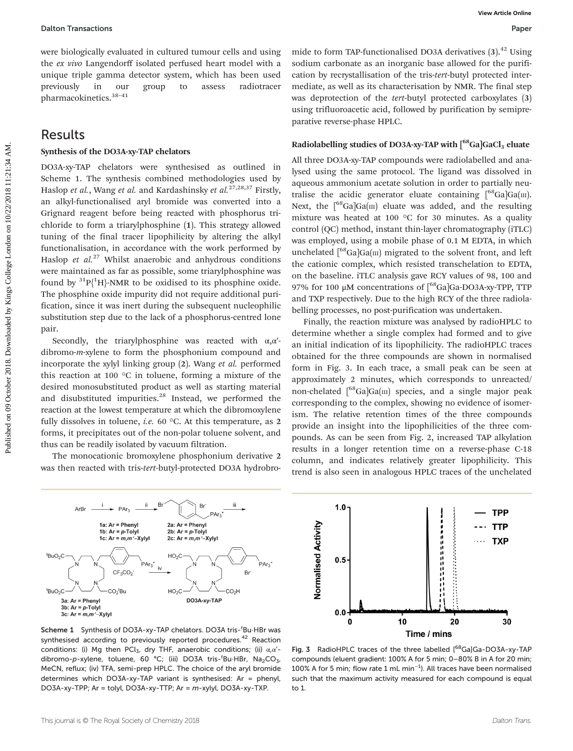were biologically evaluated in cultured tumour cells and using the ex vivo Langendorff isolated perfused heart model with a unique triple gamma detector system, which has been used previously in our group to assess radiotracer pharmacokinetics.38–<sup>41</sup>

### Results

#### Synthesis of the DO3A-xy-TAP chelators

DO3A-xy-TAP chelators were synthesised as outlined in Scheme 1. The synthesis combined methodologies used by Haslop et al., Wang et al. and Kardashinsky et al.<sup>27,28,37</sup> Firstly, an alkyl-functionalised aryl bromide was converted into a Grignard reagent before being reacted with phosphorus trichloride to form a triarylphosphine (1). This strategy allowed tuning of the final tracer lipophilicity by altering the alkyl functionalisation, in accordance with the work performed by Haslop et  $al^{27}$  Whilst anaerobic and anhydrous conditions were maintained as far as possible, some triarylphosphine was found by  ${}^{31}P{^1H}$ -NMR to be oxidised to its phosphine oxide. The phosphine oxide impurity did not require additional purification, since it was inert during the subsequent nucleophilic substitution step due to the lack of a phosphorus-centred lone pair. Dation Transactions<br>
We according to correct on the correct of the college and the collect on the collect on the collect on the collect on the collect of the collect on the collect on the collect on the collect on the col

Secondly, the triarylphosphine was reacted with  $\alpha, \alpha'$ dibromo-m-xylene to form the phosphonium compound and incorporate the xylyl linking group (2). Wang et al. performed this reaction at 100 °C in toluene, forming a mixture of the desired monosubstituted product as well as starting material and disubstituted impurities.<sup>28</sup> Instead, we performed the reaction at the lowest temperature at which the dibromoxylene fully dissolves in toluene, *i.e.* 60 °C. At this temperature, as 2 forms, it precipitates out of the non-polar toluene solvent, and thus can be readily isolated by vacuum filtration.

The monocationic bromoxylene phosphonium derivative 2 was then reacted with tris-tert-butyl-protected DO3A hydrobromide to form TAP-functionalised DO3A derivatives  $(3)$ .<sup>42</sup> Using sodium carbonate as an inorganic base allowed for the purification by recrystallisation of the tris-tert-butyl protected intermediate, as well as its characterisation by NMR. The final step was deprotection of the tert-butyl protected carboxylates (3) using trifluoroacetic acid, followed by purification by semipreparative reverse-phase HPLC.

#### Radiolabelling studies of DO3A-xy-TAP with  $[$ <sup>68</sup>Ga]GaCl<sub>3</sub> eluate

All three DO3A-xy-TAP compounds were radiolabelled and analysed using the same protocol. The ligand was dissolved in aqueous ammonium acetate solution in order to partially neutralise the acidic generator eluate containing  $\int_{0}^{68}Ga|Ga(m)|$ . Next, the  $\int^{68} \text{Ga} | \text{Ga} | \text{m} \rangle$  eluate was added, and the resulting mixture was heated at 100 °C for 30 minutes. As a quality control (QC) method, instant thin-layer chromatography (iTLC) was employed, using a mobile phase of 0.1 M EDTA, in which unchelated  $\int^{68}$ Ga $\vert$ Ga(III) migrated to the solvent front, and left the cationic complex, which resisted transchelation to EDTA, on the baseline. iTLC analysis gave RCY values of 98, 100 and 97% for 100 μM concentrations of [68Ga]Ga-DO3A-xy-TPP, TTP and TXP respectively. Due to the high RCY of the three radiolabelling processes, no post-purification was undertaken.

Finally, the reaction mixture was analysed by radioHPLC to determine whether a single complex had formed and to give an initial indication of its lipophilicity. The radioHPLC traces obtained for the three compounds are shown in normalised form in Fig. 3. In each trace, a small peak can be seen at approximately 2 minutes, which corresponds to unreacted/ non-chelated  $\int^{68}Ga|Ga(m)$  species, and a single major peak corresponding to the complex, showing no evidence of isomerism. The relative retention times of the three compounds provide an insight into the lipophilicities of the three compounds. As can be seen from Fig. 2, increased TAP alkylation results in a longer retention time on a reverse-phase C-18 column, and indicates relatively greater lipophilicity. This trend is also seen in analogous HPLC traces of the unchelated



Scheme 1 Synthesis of DO3A-xy-TAP chelators. DO3A tris-<sup>t</sup>Bu·HBr was synthesised according to previously reported procedures.<sup>42</sup> Reaction conditions: (i) Mg then PCl<sub>3</sub>, dry THF, anaerobic conditions; (ii)  $\alpha$ , $\alpha'$ dibromo-p-xylene, toluene, 60 °C; (iii) DO3A tris-<sup>t</sup>Bu·HBr, Na<sub>2</sub>CO<sub>3</sub>, MeCN, reflux; (iv) TFA, semi-prep HPLC. The choice of the aryl bromide determines which DO3A-xy-TAP variant is synthesised: Ar = phenyl, DO3A-xy-TPP; Ar = tolyl, DO3A-xy-TTP; Ar = m-xylyl, DO3A-xy-TXP.



Fig. 3 RadioHPLC traces of the three labelled [68Ga]Ga-DO3A-xy-TAP compounds (eluent gradient: 100% A for 5 min; 0–80% B in A for 20 min; 100% A for 5 min; flow rate 1 mL min<sup>-1</sup>). All traces have been normalised such that the maximum activity measured for each compound is equal to 1.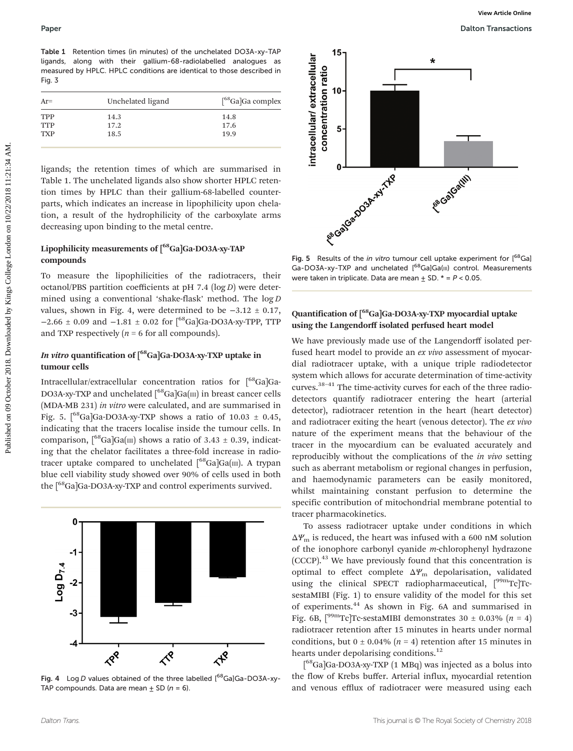Table 1 Retention times (in minutes) of the unchelated DO3A-xy-TAP ligands, along with their gallium-68-radiolabelled analogues as measured by HPLC. HPLC conditions are identical to those described in Fig. 3

| $Ar=$      | Unchelated ligand | $\int^{68}$ Ga]Ga complex |
|------------|-------------------|---------------------------|
| <b>TPP</b> | 14.3              | 14.8                      |
| <b>TTP</b> | 17.2              | 17.6                      |
| <b>TXP</b> | 18.5              | 19.9                      |
|            |                   |                           |

ligands; the retention times of which are summarised in Table 1. The unchelated ligands also show shorter HPLC retention times by HPLC than their gallium-68-labelled counterparts, which indicates an increase in lipophilicity upon chelation, a result of the hydrophilicity of the carboxylate arms decreasing upon binding to the metal centre.

### Lipophilicity measurements of [<sup>68</sup>Ga]Ga-DO3A-xy-TAP compounds

To measure the lipophilicities of the radiotracers, their octanol/PBS partition coefficients at  $pH$  7.4 ( $log D$ ) were determined using a conventional 'shake-flask' method. The log D values, shown in Fig. 4, were determined to be  $-3.12 \pm 0.17$ ,  $-2.66 \pm 0.09$  and  $-1.81 \pm 0.02$  for [<sup>68</sup>Ga]Ga-DO3A-xy-TPP, TTP and TXP respectively  $(n = 6$  for all compounds).

### In vitro quantification of [<sup>68</sup>Ga]Ga-DO3A-xy-TXP uptake in tumour cells

Intracellular/extracellular concentration ratios for [<sup>68</sup>Ga]Ga-DO3A-xy-TXP and unchelated  $\int^{68}Ga|Ga(m)|$  in breast cancer cells (MDA-MB 231) in vitro were calculated, and are summarised in Fig. 5.  $\int^{68}$ Ga]Ga-DO3A-xy-TXP shows a ratio of 10.03  $\pm$  0.45, indicating that the tracers localise inside the tumour cells. In comparison,  $\int_{0}^{68}Ga|Ga(m)$  shows a ratio of 3.43 ± 0.39, indicating that the chelator facilitates a three-fold increase in radiotracer uptake compared to unchelated  $[68]$ Ga $|Ga(III)|$ . A trypan blue cell viability study showed over 90% of cells used in both the [<sup>68</sup>Ga]Ga-DO3A-xy-TXP and control experiments survived.



Fig. 4 Log D values obtained of the three labelled  $[<sup>68</sup>Ga]Ga-DO3A-xy-$ TAP compounds. Data are mean  $\pm$  SD (n = 6).



Fig. 5 Results of the in vitro tumour cell uptake experiment for  $[<sup>68</sup>Ga]$ Ga-DO3A-xy-TXP and unchelated [<sup>68</sup>Ga]Ga(III) control. Measurements were taken in triplicate. Data are mean  $+$  SD.  $*$  =  $P$  < 0.05.

### Quantification of [68Ga]Ga-DO3A-xy-TXP myocardial uptake using the Langendorff isolated perfused heart model

We have previously made use of the Langendorff isolated perfused heart model to provide an ex vivo assessment of myocardial radiotracer uptake, with a unique triple radiodetector system which allows for accurate determination of time-activity curves.<sup>38-41</sup> The time-activity curves for each of the three radiodetectors quantify radiotracer entering the heart (arterial detector), radiotracer retention in the heart (heart detector) and radiotracer exiting the heart (venous detector). The ex vivo nature of the experiment means that the behaviour of the tracer in the myocardium can be evaluated accurately and reproducibly without the complications of the in vivo setting such as aberrant metabolism or regional changes in perfusion, and haemodynamic parameters can be easily monitored, whilst maintaining constant perfusion to determine the specific contribution of mitochondrial membrane potential to tracer pharmacokinetics.

To assess radiotracer uptake under conditions in which  $\Delta Y_m$  is reduced, the heart was infused with a 600 nM solution of the ionophore carbonyl cyanide m-chlorophenyl hydrazone (CCCP).<sup>43</sup> We have previously found that this concentration is optimal to effect complete  $\Delta \Psi_{\text{m}}$  depolarisation, validated using the clinical SPECT radiopharmaceutical,  $[{}^{99m}Tc]Tc$ sestaMIBI (Fig. 1) to ensure validity of the model for this set of experiments.<sup>44</sup> As shown in Fig. 6A and summarised in Fig. 6B,  $\int^{\text{99m}} \text{Tc}}$ ]Tc-sestaMIBI demonstrates 30 ± 0.03% (n = 4) radiotracer retention after 15 minutes in hearts under normal conditions, but  $0 \pm 0.04\%$  ( $n = 4$ ) retention after 15 minutes in hearts under depolarising conditions.<sup>12</sup>

[<sup>68</sup>Ga]Ga-DO3A-xy-TXP (1 MBq) was injected as a bolus into the flow of Krebs buffer. Arterial influx, myocardial retention and venous efflux of radiotracer were measured using each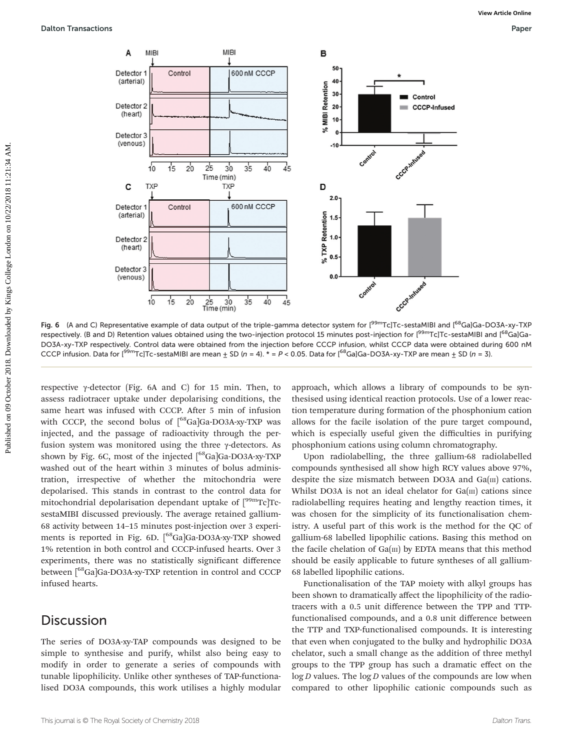

Fig. 6 (A and C) Representative example of data output of the triple-gamma detector system for [<sup>99m</sup>Tc]Tc-sestaMIBI and [<sup>68</sup>Ga]Ga-DO3A-xy-TXP respectively. (B and D) Retention values obtained using the two-injection protocol 15 minutes post-injection for [<sup>99m</sup>Tc]Tc-sestaMIBI and [<sup>68</sup>Ga]Ga-DO3A-xy-TXP respectively. Control data were obtained from the injection before CCCP infusion, whilst CCCP data were obtained during 600 nM CCCP infusion. Data for [<sup>99m</sup>Tc]Tc-sestaMIBI are mean  $\pm$  SD (n = 4). \* = P < 0.05. Data for [<sup>68</sup>Ga]Ga-DO3A-xy-TXP are mean  $\pm$  SD (n = 3).

respective γ-detector (Fig. 6A and C) for 15 min. Then, to assess radiotracer uptake under depolarising conditions, the same heart was infused with CCCP. After 5 min of infusion with CCCP, the second bolus of  $\int_{0}^{68}Ga]Ga-DO3A-xy-TXP$  was injected, and the passage of radioactivity through the perfusion system was monitored using the three γ-detectors. As shown by Fig. 6C, most of the injected  $\int^{68}Ga$  Ga-DO3A-xy-TXP washed out of the heart within 3 minutes of bolus administration, irrespective of whether the mitochondria were depolarised. This stands in contrast to the control data for mitochondrial depolarisation dependant uptake of  $\int_{0}^{99m}Tc$ TcsestaMIBI discussed previously. The average retained gallium-68 activity between 14–15 minutes post-injection over 3 experiments is reported in Fig. 6D. [<sup>68</sup>Ga]Ga-DO3A-xy-TXP showed 1% retention in both control and CCCP-infused hearts. Over 3 experiments, there was no statistically significant difference between [<sup>68</sup>Ga]Ga-DO3A-xy-TXP retention in control and CCCP infused hearts.

### **Discussion**

The series of DO3A-xy-TAP compounds was designed to be simple to synthesise and purify, whilst also being easy to modify in order to generate a series of compounds with tunable lipophilicity. Unlike other syntheses of TAP-functionalised DO3A compounds, this work utilises a highly modular approach, which allows a library of compounds to be synthesised using identical reaction protocols. Use of a lower reaction temperature during formation of the phosphonium cation allows for the facile isolation of the pure target compound, which is especially useful given the difficulties in purifying phosphonium cations using column chromatography.

Upon radiolabelling, the three gallium-68 radiolabelled compounds synthesised all show high RCY values above 97%, despite the size mismatch between DO3A and  $Ga(m)$  cations. Whilst DO3A is not an ideal chelator for  $Ga(m)$  cations since radiolabelling requires heating and lengthy reaction times, it was chosen for the simplicity of its functionalisation chemistry. A useful part of this work is the method for the QC of gallium-68 labelled lipophilic cations. Basing this method on the facile chelation of  $Ga(m)$  by EDTA means that this method should be easily applicable to future syntheses of all gallium-68 labelled lipophilic cations.

Functionalisation of the TAP moiety with alkyl groups has been shown to dramatically affect the lipophilicity of the radiotracers with a 0.5 unit difference between the TPP and TTPfunctionalised compounds, and a 0.8 unit difference between the TTP and TXP-functionalised compounds. It is interesting that even when conjugated to the bulky and hydrophilic DO3A chelator, such a small change as the addition of three methyl groups to the TPP group has such a dramatic effect on the  $log D$  values. The  $log D$  values of the compounds are low when compared to other lipophilic cationic compounds such as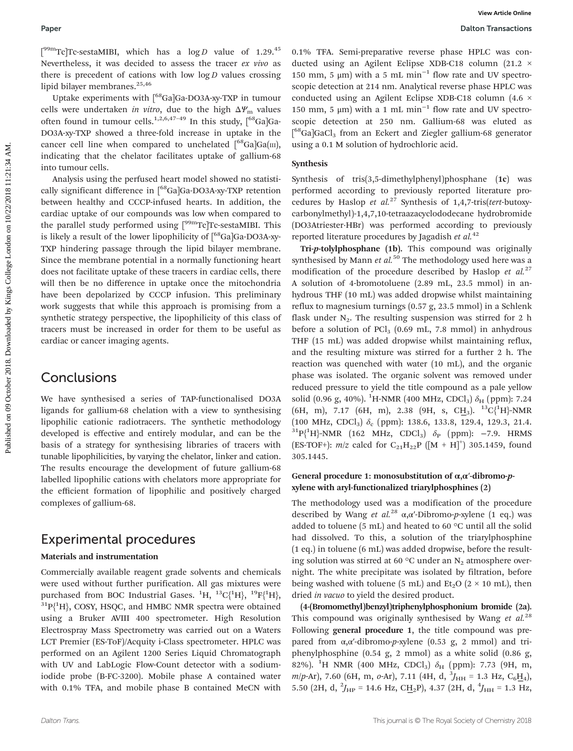$[{}^{99m}$ Tc]Tc-sestaMIBI, which has a log D value of 1.29.<sup>45</sup> Nevertheless, it was decided to assess the tracer ex vivo as there is precedent of cations with low  $log D$  values crossing lipid bilayer membranes.<sup>25,46</sup>

Uptake experiments with [<sup>68</sup>Ga]Ga-DO3A-xy-TXP in tumour cells were undertaken *in vitro*, due to the high  $\Delta Y_m$  values often found in tumour cells.<sup>1,2,6,47-49</sup> In this study,  $\int_{0}^{68}Ga$ ]Ga-DO3A-xy-TXP showed a three-fold increase in uptake in the cancer cell line when compared to unchelated  $[$ <sup>68</sup>Ga]Ga(III), indicating that the chelator facilitates uptake of gallium-68 into tumour cells.

Analysis using the perfused heart model showed no statistically significant difference in [<sup>68</sup>Ga]Ga-DO3A-xy-TXP retention between healthy and CCCP-infused hearts. In addition, the cardiac uptake of our compounds was low when compared to the parallel study performed using  $[{}^{99m}$ Tc]Tc-sestaMIBI. This is likely a result of the lower lipophilicity of  $\int^{68}$ Ga]Ga-DO3A-xy-TXP hindering passage through the lipid bilayer membrane. Since the membrane potential in a normally functioning heart does not facilitate uptake of these tracers in cardiac cells, there will then be no difference in uptake once the mitochondria have been depolarized by CCCP infusion. This preliminary work suggests that while this approach is promising from a synthetic strategy perspective, the lipophilicity of this class of tracers must be increased in order for them to be useful as cardiac or cancer imaging agents.

### **Conclusions**

We have synthesised a series of TAP-functionalised DO3A ligands for gallium-68 chelation with a view to synthesising lipophilic cationic radiotracers. The synthetic methodology developed is effective and entirely modular, and can be the basis of a strategy for synthesising libraries of tracers with tunable lipophilicities, by varying the chelator, linker and cation. The results encourage the development of future gallium-68 labelled lipophilic cations with chelators more appropriate for the efficient formation of lipophilic and positively charged complexes of gallium-68.

### Experimental procedures

### Materials and instrumentation

Commercially available reagent grade solvents and chemicals were used without further purification. All gas mixtures were purchased from BOC Industrial Gases.  ${}^{1}H, {}^{13}C(^{1}H), {}^{19}F(^{1}H),$  ${}^{31}P{^1H}$ , COSY, HSQC, and HMBC NMR spectra were obtained using a Bruker AVIII 400 spectrometer. High Resolution Electrospray Mass Spectrometry was carried out on a Waters LCT Premier (ES-ToF)/Acquity i-Class spectrometer. HPLC was performed on an Agilent 1200 Series Liquid Chromatograph with UV and LabLogic Flow-Count detector with a sodiumiodide probe (B-FC-3200). Mobile phase A contained water with 0.1% TFA, and mobile phase B contained MeCN with

0.1% TFA. Semi-preparative reverse phase HPLC was conducted using an Agilent Eclipse XDB-C18 column (21.2 × 150 mm, 5 μm) with a 5 mL min<sup>-1</sup> flow rate and UV spectroscopic detection at 214 nm. Analytical reverse phase HPLC was conducted using an Agilent Eclipse XDB-C18 column (4.6 × 150 mm, 5 μm) with a 1 mL min<sup>-1</sup> flow rate and UV spectroscopic detection at 250 nm. Gallium-68 was eluted as [<sup>68</sup>Ga]GaCl<sub>3</sub> from an Eckert and Ziegler gallium-68 generator using a 0.1 M solution of hydrochloric acid.

### Synthesis

Synthesis of tris(3,5-dimethylphenyl)phosphane (1c) was performed according to previously reported literature procedures by Haslop et al.<sup>27</sup> Synthesis of 1,4,7-tris(tert-butoxycarbonylmethyl)-1,4,7,10-tetraazacyclododecane hydrobromide (DO3Atriester·HBr) was performed according to previously reported literature procedures by Jagadish et  $al$ .<sup>42</sup>

Tri-p-tolylphosphane (1b). This compound was originally synthesised by Mann  $et$   $al$ <sup>50</sup> The methodology used here was a modification of the procedure described by Haslop et  $al^{27}$ A solution of 4-bromotoluene (2.89 mL, 23.5 mmol) in anhydrous THF (10 mL) was added dropwise whilst maintaining reflux to magnesium turnings (0.57 g, 23.5 mmol) in a Schlenk flask under  $N_2$ . The resulting suspension was stirred for 2 h before a solution of  $\text{PCl}_3$  (0.69 mL, 7.8 mmol) in anhydrous THF (15 mL) was added dropwise whilst maintaining reflux, and the resulting mixture was stirred for a further 2 h. The reaction was quenched with water (10 mL), and the organic phase was isolated. The organic solvent was removed under reduced pressure to yield the title compound as a pale yellow solid (0.96 g, 40%). <sup>1</sup>H-NMR (400 MHz, CDCl<sub>3</sub>)  $\delta_{\rm H}$  (ppm): 7.24  $(6H, m)$ , 7.17  $(6H, m)$ , 2.38  $(9H, s, CH_3)$ . <sup>13</sup>C{<sup>1</sup>H}-NMR (100 MHz, CDCl<sub>3</sub>)  $\delta_c$  (ppm): 138.6, 133.8, 129.4, 129.3, 21.4.<br><sup>31</sup>P{<sup>1</sup>H}-NMR (162 MHz, CDCl<sub>3</sub>)  $\delta_p$  (ppm): −7.9. HRMS (ES-TOF+):  $m/z$  calcd for  $C_{21}H_{22}P$  ([M + H]<sup>+</sup>) 305.1459, found 305.1445. **Public Matrix 1998 Public Matrix Amelia** in a login volume of 1.20,  $\frac{1}{2}$  College London on the collection of the collection of the collection of the collection of the collection of the collection of the collection

### General procedure 1: monosubstitution of  $\alpha, \alpha'$ -dibromo-pxylene with aryl-functionalized triarylphosphines (2)

The methodology used was a modification of the procedure described by Wang et al.<sup>28</sup> α,α'-Dibromo-p-xylene (1 eq.) was added to toluene (5 mL) and heated to 60 °C until all the solid had dissolved. To this, a solution of the triarylphosphine (1 eq.) in toluene (6 mL) was added dropwise, before the resulting solution was stirred at 60  $\degree$ C under an N<sub>2</sub> atmosphere overnight. The white precipitate was isolated by filtration, before being washed with toluene (5 mL) and  $Et<sub>2</sub>O$  (2  $\times$  10 mL), then dried in vacuo to yield the desired product.

(4-(Bromomethyl)benzyl)triphenylphosphonium bromide (2a). This compound was originally synthesised by Wang et  $al^{28}$ . Following general procedure 1, the title compound was prepared from  $\alpha, \alpha'$ -dibromo-p-xylene (0.53 g, 2 mmol) and triphenylphosphine (0.54 g, 2 mmol) as a white solid (0.86 g, 82%). <sup>1</sup>H NMR (400 MHz, CDCl<sub>3</sub>)  $\delta_{\rm H}$  (ppm): 7.73 (9H, m, m/p-Ar), 7.60 (6H, m, o-Ar), 7.11 (4H, d,  $^{3}J_{\text{HH}}$  = 1.3 Hz, C<sub>6</sub>H<sub>4</sub>), 5.50 (2H, d,  $^2J_{HP}$  = 14.6 Hz, CH<sub>2</sub>P), 4.37 (2H, d,  $^4J_{HH}$  = 1.3 Hz,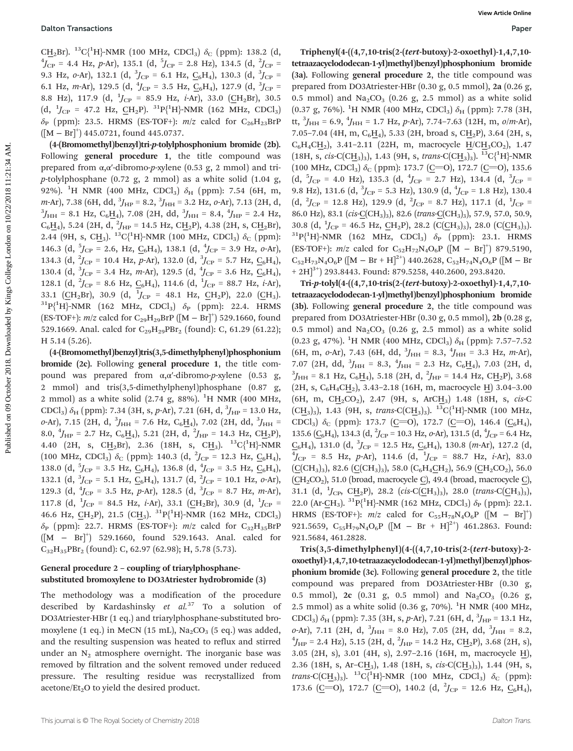CH<sub>2</sub>Br). <sup>13</sup>C{<sup>1</sup>H}-NMR (100 MHz, CDCl<sub>3</sub>)  $\delta$ <sub>C</sub> (ppm): 138.2 (d, <sup>4</sup>L<sub>1</sub> - 4.4 Hz, n, Ar). 135.1 (d, <sup>5</sup>L<sub>1</sub> - 2.8 Hz). 134.5 (d, <sup>2</sup>L<sub>1</sub> - $J_{\rm CP}$  = 4.4 Hz, p-Ar), 135.1 (d,  $^5J_{\rm CP}$  = 2.8 Hz), 134.5 (d,  $^2J_{\rm CP}$  = 9.3 Hz,  $o$ -Ar), 132.1 (d,  $^3J_{\rm CP}$  = 6.1 Hz,  $\underline{C_6}H_4$ ), 130.3 (d,  $^3J_{\rm CP}$  = 6.1 Hz, *m*-Ar), 129.5 (d,  $^{4}J_{\text{CP}}$  = 3.5 Hz,  $\underline{C_6}H_4$ ), 127.9 (d,  $^{3}J_{\text{CP}}$  = 8.8 Hz), 117.9 (d,  $^{1}J_{\text{CP}}$  = 85.9 Hz, *i*-Ar), 33.0 (CH<sub>2</sub>Br), 30.5 (d,  $^{1}J_{\text{CP}}$  = 47.2 Hz,  $\underline{CH}_{2}P$ ).  $^{31}P_{1}^{1}H_{1}^{1}NMR$  (162 MHz, CDCl<sub>3</sub>)  $\delta_P$  (ppm): 23.5. HRMS (ES-TOF+):  $m/z$  calcd for C<sub>26</sub>H<sub>23</sub>BrP ([M − Br]<sup>+</sup> ) 445.0721, found 445.0737.

(4-(Bromomethyl)benzyl)tri-p-tolylphosphonium bromide (2b). Following general procedure 1, the title compound was prepared from α,α′-dibromo-p-xylene (0.53 g, 2 mmol) and trip-tolylphosphane (0.72 g, 2 mmol) as a white solid  $(1.04 \text{ g})$ , 92%). <sup>1</sup>H NMR (400 MHz, CDCl<sub>3</sub>)  $\delta_{\rm H}$  (ppm): 7.54 (6H, m, m-Ar), 7.38 (6H, dd,  ${}^{3}$ <sub>JHP</sub> = 8.2,  ${}^{3}$ <sub>JHH</sub> = 3.2 Hz, o-Ar), 7.13 (2H, d,  ${}^{3}$ <sub>J</sub> = 8.1 Hz, C H ), 7.08 (2H dd,  ${}^{3}$ J = 8.4  ${}^{4}$ J = 2.4 Hz  $J_{\text{HH}}$  = 8.1 Hz, C<sub>6</sub>H<sub>4</sub>), 7.08 (2H, dd,  $^{3}J_{\text{HH}}$  = 8.4,  $^{4}J_{\text{HP}}$  = 2.4 Hz,  $C_6H_4$ ), 5.24 (2H, d,  ${}^2J_{HP}$  = 14.5 Hz, CH<sub>2</sub>P), 4.38 (2H, s, CH<sub>2</sub>Br), 2.44 (9H, s, CH<sub>3</sub>). <sup>13</sup>C{<sup>1</sup>H}-NMR (100 MHz, CDCl<sub>3</sub>)  $\delta_c$  (ppm): 146.3 (d,  $5f_{CP} = 2.6$ , Hz,  $C_6H_4$ ), 138.1 (d,  $4f_{CP} = 3.9$  Hz,  $o$ -Ar), 134.3 (d,  ${}^{2}J_{\text{CP}}$  = 10.4 Hz, p-Ar), 132.0 (d,  ${}^{3}J_{\text{CP}}$  = 5.7 Hz,  $\underline{C_6}H_4$ ), 130.4 (d,  ${}^{3}J_{\text{CP}}$  = 3.4 Hz, *m*-Ar), 129.5 (d,  ${}^{4}J_{\text{CP}}$  = 3.6 Hz,  $\underline{C_6}H_4$ ), 128.1 (d,  ${}^{2}J_{\rm CP}$  = 8.6 Hz,  $C_6H_4$ ), 114.6 (d,  ${}^{1}J_{\rm CP}$  = 88.7 Hz, *i*-Ar), 33.1 (CH<sub>2</sub>Br), 30.9 (d,  $^{1}$ J<sub>CP</sub> = 48.1 Hz, CH<sub>2</sub>P), 22.0 (CH<sub>3</sub>). 33.1 (CH<sub>2</sub>Br), 30.9 (d, <sup>1</sup>J<sub>CP</sub> = 48.1 Hz, CH<sub>2</sub>P), 22.0 (CH<sub>3</sub>).<br><sup>31</sup>P{<sup>1</sup>H}-NMR (162 MHz, CDCl<sub>3</sub>)  $\delta_P$  (ppm): 22.4. HRMS (ES-TOF+):  $m/z$  calcd for C<sub>29</sub>H<sub>29</sub>BrP ([M – Br]<sup>+</sup>) 529.1660, found 529.1669. Anal. calcd for  $C_{29}H_{29}PBr_2$  (found): C, 61.29 (61.22); H 5.14 (5.26).

(4-(Bromomethyl)benzyl)tris(3,5-dimethylphenyl)phosphonium bromide (2c). Following general procedure 1, the title compound was prepared from  $α, α'$ -dibromo-p-xylene (0.53 g, 2 mmol) and tris(3,5-dimethylphenyl)phosphane (0.87 g, 2 mmol) as a white solid  $(2.74 \text{ g}, 88\%)$ . <sup>1</sup>H NMR  $(400 \text{ MHz},$ CDCl<sub>3</sub>)  $\delta_{\text{H}}$  (ppm): 7.34 (3H, s, p-Ar), 7.21 (6H, d,  $^{3}$ J<sub>HP</sub> = 13.0 Hz,  $o$ -Ar), 7.15 (2H, d,  $^3J_{\text{HH}}$  = 7.6 Hz, C<sub>6</sub>H<sub>4</sub>), 7.02 (2H, dd,  $^3J_{\text{HH}}$  = 8.0,  $^{4}$ J<sub>HP</sub> = 2.7 Hz, C<sub>6</sub>H<sub>4</sub>), 5.21 (2H, d,  $^{2}$ J<sub>HP</sub> = 14.3 Hz, CH<sub>2</sub>P), 4.40 (2H, s, CH<sub>2</sub>Br), 2.36 (18H, s, CH<sub>3</sub>). <sup>13</sup>C{<sup>1</sup>H}-NMR (100 MHz, CDCl<sub>3</sub>)  $\delta_C$  (ppm): 140.3 (d, <sup>2</sup>J<sub>CP</sub> = 12.3 Hz,  $\underline{C_6}H_4$ ), 138.0 (d,  $5f_{CP} = 3.5$  Hz,  $C_6H_4$ ), 136.8 (d,  $f_{CP} = 3.5$  Hz,  $C_6H_4$ ), 132.1 (d,  ${}^{3}J_{\text{CP}}$  = 5.1 Hz,  $\underline{C_6}H_4$ ), 131.7 (d,  ${}^{2}J_{\text{CP}}$  = 10.1 Hz, *o*-Ar), 129.3 (d,  $^{4}J_{\text{CP}}$  = 3.5 Hz, p-Ar), 128.5 (d,  $^{3}J_{\text{CP}}$  = 8.7 Hz, m-Ar), 117.8 (d,  $^{1}J_{\text{CP}}$  = 84.5 Hz, *i*-Ar), 33.1 (CH<sub>2</sub>Br), 30.9 (d,  $^{1}J_{\text{CP}}$  = 46.6 Hz,  $\underline{CH}_2P$ ), 21.5 (C $\underline{H}_3$ ).  ${}^{31}P_1^{\{1}H\}$ -NMR (162 MHz, CDCl<sub>3</sub>)  $\delta_P$  (ppm): 22.7. HRMS (ES-TOF+):  $m/z$  calcd for C<sub>32</sub>H<sub>35</sub>BrP ([M − Br]<sup>+</sup> ) 529.1660, found 529.1643. Anal. calcd for  $C_{32}H_{35}PBr_2$  (found): C, 62.97 (62.98); H, 5.78 (5.73).

### General procedure 2 – coupling of triarylphosphanesubstituted bromoxylene to DO3Atriester hydrobromide (3)

The methodology was a modification of the procedure described by Kardashinsky et  $al.^{37}$  To a solution of DO3Atriester·HBr (1 eq.) and triarylphosphane-substituted bromoxylene (1 eq.) in MeCN (15 mL),  $\text{Na}_2\text{CO}_3$  (5 eq.) was added, and the resulting suspension was heated to reflux and stirred under an  $N_2$  atmosphere overnight. The inorganic base was removed by filtration and the solvent removed under reduced pressure. The resulting residue was recrystallized from acetone/ $Et<sub>2</sub>O$  to yield the desired product.

Triphenyl(4-((4,7,10-tris(2-(tert-butoxy)-2-oxoethyl)-1,4,7,10 tetraazacyclododecan-1-yl)methyl)benzyl)phosphonium bromide (3a). Following general procedure 2, the title compound was prepared from DO3Atriester·HBr (0.30 g, 0.5 mmol), 2a (0.26 g, 0.5 mmol) and  $Na<sub>2</sub>CO<sub>3</sub>$  (0.26 g, 2.5 mmol) as a white solid (0.37 g, 76%). <sup>1</sup>H NMR (400 MHz, CDCl<sub>3</sub>)  $\delta_{\rm H}$  (ppm): 7.78 (3H, tt,  ${}^{3}J_{\text{HH}}$  = 6.9,  ${}^{4}J_{\text{HH}}$  = 1.7 Hz, p-Ar), 7.74–7.63 (12H, m, o/m-Ar), 7.05–7.04 (4H, m, C<sub>6</sub>H<sub>4</sub>), 5.33 (2H, broad s, CH<sub>2</sub>P), 3.64 (2H, s,  $C_6H_4CH_2$ ), 3.41–2.11 (22H, m, macrocycle  $H/CH_3CO_2$ ), 1.47  $(18H, s, cis\text{-}C(CH<sub>3</sub>)<sub>3</sub>), 1.43 (9H, s, trans\text{-}C(CH<sub>3</sub>)<sub>3</sub>).<sup>13</sup>C<sub>1</sub><sup>1</sup>H}-NMR$ (100 MHz, CDCl<sub>3</sub>)  $\delta_C$  (ppm): 173.7 (C=O), 172.7 (C=O), 135.6  $(d, {}^{5}J_{CP} = 4.0 \text{ Hz}), 135.3 (d, {}^{4}J_{CP} = 2.7 \text{ Hz}), 134.4 (d, {}^{3}J_{CP} =$ 9.8 Hz), 131.6 (d,  ${}^{3}J_{CP}$  = 5.3 Hz), 130.9 (d,  ${}^{4}J_{CP}$  = 1.8 Hz), 130.4  $(d, {}^{2}J_{CP} = 12.8 \text{ Hz}), 129.9 \text{ (d, } {}^{2}J_{CP} = 8.7 \text{ Hz}), 117.1 \text{ (d, } {}^{1}J_{CP} =$ 86.0 Hz), 83.1 (cis-C(CH<sub>3</sub>)<sub>3</sub>), 82.6 (trans-C(CH<sub>3</sub>)<sub>3</sub>), 57.9, 57.0, 50.9, 30.8 (d,  $^1$ J<sub>CP</sub> = 46.5 Hz, CH<sub>2</sub>P), 28.2 (C(CH<sub>3</sub>)<sub>3</sub>), 28.0 (C(CH<sub>3</sub>)<sub>3</sub>). 30.8 (d,  $^1$ <sub>*J*CP</sub> = 46.5 Hz, <u>C</u>H<sub>2</sub>P), 28.2 (C(CH<sub>3</sub>)<sub>3</sub>), 28.0 (C(CH<sub>3</sub>)<sub>3</sub>).<br><sup>31</sup>P{<sup>1</sup>H}-NMR (162 MHz, CDCl<sub>3</sub>)  $\delta_P$  (ppm): 23.1. HRMS (ES-TOF+):  $m/z$  calcd for C<sub>52</sub>H<sub>72</sub>N<sub>4</sub>O<sub>6</sub>P ([M – Br]<sup>+</sup>) 879.5190,  $C_{52}H_{73}N_4O_6P$  ([M – Br + H]<sup>2+</sup>) 440.2628,  $C_{52}H_{74}N_4O_6P$  ([M – Br  $+ 2H$ <sup>3+</sup>) 293.8443. Found: 879.5258, 440.2600, 293.8420. Dalton Transcribthe Fourier (iii)  $\sqrt{2}$  (iii)  $\sqrt{2}$  (iii)  $\sqrt{2}$  (iii)  $\sqrt{2}$  (iii)  $\sqrt{2}$  (iii)  $\sqrt{2}$  (iii)  $\sqrt{2}$  (iii)  $\sqrt{2}$  (iii)  $\sqrt{2}$  (iii)  $\sqrt{2}$  (iii)  $\sqrt{2}$  (iii)  $\sqrt{2}$  (iii)  $\sqrt{2}$  (iii)  $\sqrt{2$ 

Tri-p-tolyl(4-((4,7,10-tris(2-(tert-butoxy)-2-oxoethyl)-1,4,7,10 tetraazacyclododecan-1-yl)methyl)benzyl)phosphonium bromide (3b). Following general procedure 2, the title compound was prepared from DO3Atriester·HBr (0.30 g, 0.5 mmol), 2b (0.28 g, 0.5 mmol) and  $\text{Na}_2\text{CO}_3$  (0.26 g, 2.5 mmol) as a white solid (0.23 g, 47%). <sup>1</sup>H NMR (400 MHz, CDCl<sub>3</sub>)  $\delta$ <sub>H</sub> (ppm): 7.57-7.52  $(6H, m, o-Ar)$ , 7.43  $(6H, dd, \frac{3}{HH} = 8.3, \frac{4}{HH} = 3.3 Hz, m-Ar$ ), 7.07 (2H, dd,  ${}^{3}J_{\text{HH}} = 8.3$ ,  ${}^{4}J_{\text{HH}} = 2.3$  Hz,  $C_6H_4$ ), 7.03 (2H, d,  ${}^{3}I = 8.1$  Hz,  $C$  H  $)$ , 5.18 (2H  $d$ ,  ${}^{2}I = 14A$  Hz,  $C$  H  $)$ ), 3.68  $J_{\text{HH}}$  = 8.1 Hz, C<sub>6</sub>H<sub>4</sub>), 5.18 (2H, d, <sup>2</sup> $J_{\text{HP}}$  = 14.4 Hz, CH<sub>2</sub>P), 3.68  $(2H, s, C_6H_4CH_2), 3.43-2.18$  (16H, m, macrocycle H) 3.04-3.00  $(6H, m, CH_2CO_2), 2.47 (9H, s, ArcH_3)$  1.48 (18H, s, cis-C  $(CH<sub>3</sub>)<sub>3</sub>$ ), 1.43 (9H, s, trans-C $(CH<sub>3</sub>)<sub>3</sub>$ ).  $^{13}C<sub>1</sub><sup>1</sup>H$ }-NMR (100 MHz, CDCl<sub>3</sub>)  $\delta_C$  (ppm): 173.7 (C=O), 172.7 (C=O), 146.4 (C<sub>6</sub>H<sub>4</sub>), 135.6 ( $C_6H_4$ ), 134.3 (d,  ${}^2J_{CP}$  = 10.3 Hz,  $o$ -Ar), 131.5 (d,  ${}^4J_{CP}$  = 6.4 Hz,  $\frac{C_6H_4}{4}$ , 131.0 (d,  $\frac{3}{5}C_P$  = 12.5 Hz,  $C_6H_4$ ), 130.8 (m-Ar), 127.2 (d,  $\frac{4}{4}L = 8.5$  Hz, n-Ar), 114.6 (d,  $\frac{1}{4}L = 8.8$  7 Hz, *i*-Ar), 83.0  $J_{\rm CP}$  = 8.5 Hz, p-Ar), 114.6 (d,  $^{1}J_{\rm CP}$  = 88.7 Hz, *i*-Ar), 83.0  $(C(CH<sub>3</sub>)<sub>3</sub>), 82.6 (C(CH<sub>3</sub>)<sub>3</sub>), 58.0 (C<sub>6</sub>H<sub>4</sub>CH<sub>2</sub>), 56.9 (CH<sub>2</sub>CO<sub>2</sub>), 56.0$  $(CH_2CO_2)$ , 51.0 (broad, macrocycle C), 49.4 (broad, macrocycle C), 31.1 (d,  $^1J_{\text{CP}}$ , CH<sub>2</sub>P), 28.2 (cis-C(CH<sub>3</sub>)<sub>3</sub>), 28.0 (trans-C(CH<sub>3</sub>)<sub>3</sub>), 22.0 (Ar-CH<sub>3</sub>). <sup>31</sup>P{<sup>1</sup>H}-NMR (162 MHz, CDCl<sub>3</sub>)  $\delta_P$  (ppm): 22.1. HRMS (ES-TOF+):  $m/z$  calcd for C<sub>55</sub>H<sub>78</sub>N<sub>4</sub>O<sub>6</sub>P ([M – Br]<sup>+</sup>) 921.5659,  $C_{55}H_{79}N_4O_6P$  ([M – Br + H]<sup>2+</sup>) 461.2863. Found: 921.5684, 461.2828.

Tris(3,5-dimethylphenyl)(4-((4,7,10-tris(2-(tert-butoxy)-2 oxoethyl)-1,4,7,10-tetraazacyclododecan-1-yl)methyl)benzyl)phosphonium bromide (3c). Following general procedure 2, the title compound was prepared from DO3Atriester·HBr (0.30 g, 0.5 mmol), 2c (0.31 g, 0.5 mmol) and  $\text{Na}_2\text{CO}_3$  (0.26 g, 2.5 mmol) as a white solid (0.36 g, 70%).  $^{1}$ H NMR (400 MHz, CDCl<sub>3</sub>)  $\delta_{\rm H}$  (ppm): 7.35 (3H, s, p-Ar), 7.21 (6H, d,  $^3$ J<sub>HP</sub> = 13.1 Hz, *o*-Ar), 7.11 (2H, d,  ${}^{3}J_{\text{HH}} = 8.0 \text{ Hz}$ ), 7.05 (2H, dd,  ${}^{3}J_{\text{HH}} = 8.2$ ,  ${}^{4}I = 2.4 \text{ Hz}$ ), 5.15 (2H d  ${}^{2}I = 14.2 \text{ Hz}$  CH D), 3.68 (2H s)  $J_{\text{HP}}$  = 2.4 Hz), 5.15 (2H, d,  $^{2}J_{\text{HP}}$  = 14.2 Hz, CH<sub>2</sub>P), 3.68 (2H, s), 3.05 (2H, s), 3.01 (4H, s), 2.97–2.16 (16H, m, macrocycle H̲), 2.36 (18H, s, Ar–CH<sub>3</sub>), 1.48 (18H, s, cis-C(CH<sub>3</sub>)<sub>3</sub>), 1.44 (9H, s, trans-C(CH<sub>3</sub>)<sub>3</sub>). <sup>13</sup>C{<sup>1</sup>H}-NMR (100 MHz, CDCl<sub>3</sub>)  $\delta_c$  (ppm): 173.6 (C=O), 172.7 (C=O), 140.2 (d,  ${}^{2}J_{CP}$  = 12.6 Hz,  $C_6H_4$ ),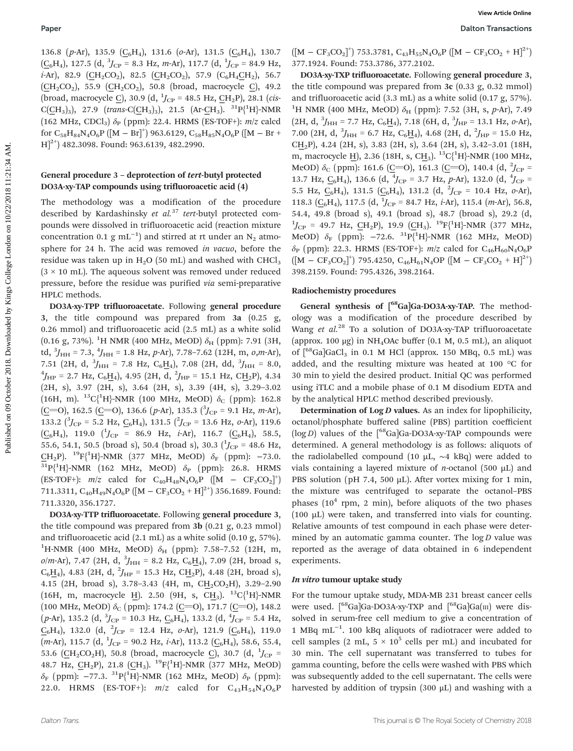136.8 (p-Ar), 135.9 ( $C_6H_4$ ), 131.6 (o-Ar), 131.5 ( $C_6H_4$ ), 130.7  $(\underline{C_6}H_4)$ , 127.5 (d,  $^3J_{CP}$  = 8.3 Hz, *m*-Ar), 117.7 (d,  $^1J_{CP}$  = 84.9 Hz,  $i$ -Ar), 82.9 (CH<sub>2</sub>CO<sub>2</sub>), 82.5 (CH<sub>2</sub>CO<sub>2</sub>), 57.9 (C<sub>6</sub>H<sub>4</sub>CH<sub>2</sub>), 56.7  $(CH_2CO_2)$ , 55.9  $(CH_2CO_2)$ , 50.8 (broad, macrocycle C), 49.2 (broad, macrocycle <u>C</u>), 30.9 (d,  $^{1}J_{\text{CP}}$  = 48.5 Hz, <u>C</u>H<sub>2</sub>P), 28.1 (*cis*- $C(\underline{CH}_3)_3$ , 27.9 (trans-C $(\underline{CH}_3)_3$ ), 21.5 (Ar- $\underline{CH}_3$ ). <sup>31</sup>P{<sup>1</sup>H}-NMR (162 MHz, CDCl<sub>3</sub>)  $\delta_P$  (ppm): 22.4. HRMS (ES-TOF+):  $m/z$  calcd for  $\rm{C}_{58}H_{84}N_{4}O_{6}P$   $([M - Br]^+)$  963.6129,  $\rm{C}_{58}H_{85}N_{4}O_{6}P$   $([M - Br +$  $H^{2+}$  482.3098. Found: 963.6139, 482.2990.

### General procedure 3 – deprotection of tert-butyl protected DO3A-xy-TAP compounds using trifluoroacetic acid (4)

The methodology was a modification of the procedure described by Kardashinsky et  $al.^{37}$  tert-butyl protected compounds were dissolved in trifluoroacetic acid (reaction mixture concentration 0.1  $g$  mL<sup>-1</sup>) and stirred at rt under an N<sub>2</sub> atmosphere for 24 h. The acid was removed in vacuo, before the residue was taken up in  $H<sub>2</sub>O$  (50 mL) and washed with CHCl<sub>3</sub>  $(3 \times 10 \text{ mL})$ . The aqueous solvent was removed under reduced pressure, before the residue was purified via semi-preparative HPLC methods.

DO3A-xy-TPP trifluoroacetate. Following general procedure 3, the title compound was prepared from 3a (0.25 g, 0.26 mmol) and trifluoroacetic acid (2.5 mL) as a white solid (0.16 g, 73%). <sup>1</sup>H NMR (400 MHz, MeOD)  $\delta_{\rm H}$  (ppm): 7.91 (3H, td,  ${}^{3}J_{\text{HH}}$  = 7.3,  ${}^{4}J_{\text{HH}}$  = 1.8 Hz, p-Ar), 7.78–7.62 (12H, m, o,m-Ar), 7.51 (2H, d,  ${}^{3}J_{\text{HH}}$  = 7.8 Hz, C<sub>6</sub>H<sub>4</sub>), 7.08 (2H, dd,  ${}^{3}J_{\text{HH}}$  = 8.0,<br><sup>4</sup>*I* = 2.7 Hz, C<sub>H</sub> J 4.95 (2H d<sup>2</sup>*I* = 15.1 Hz, CH D) 4.34  $J_{\text{HP}}$  = 2.7 Hz, C<sub>6</sub>H<sub>4</sub>), 4.95 (2H, d, <sup>2</sup> $J_{\text{HP}}$  = 15.1 Hz, CH<sub>2</sub>P), 4.34 (2H, s), 3.97 (2H, s), 3.64 (2H, s), 3.39 (4H, s), 3.29–3.02 (16H, m).  ${}^{13}C_1^{\{1}H\}$ -NMR (100 MHz, MeOD)  $\delta_C$  (ppm): 162.8  $(\underline{C}=0)$ , 162.5 ( $\underline{C}=0$ ), 136.6 (p-Ar), 135.3 ( ${}^{3}J_{CP}$  = 9.1 Hz, m-Ar), 133.2 ( ${}^{3}J_{\rm CP}$  = 5.2 Hz,  $C_6H_4$ ), 131.5 ( ${}^{2}J_{\rm CP}$  = 13.6 Hz, o-Ar), 119.6  $(\underline{C_6}H_4)$ , 119.0  $(\overline{J}_{CP} = 86.9$  Hz, *i*-Ar), 116.7  $(\underline{C_6}H_4)$ , 58.5, 55.6, 54.1, 50.5 (broad s), 50.4 (broad s), 30.3  $(^1J_{CP} = 48.6$  Hz, CH<sub>2</sub>P). <sup>19</sup>F{<sup>1</sup>H}-NMR (377 MHz, MeOD)  $\delta_F$  (ppm): -73.0.  $\frac{\text{CH}_2 \text{P}}{31}$ P{<sup>1</sup>H}-NMR (377 MHz, MeOD) δ<sub>F</sub> (ppm): −73.0.<br> $\frac{31}{3}$ P{<sup>1</sup>H}-NMR (162 MHz, MeOD) δ<sub>P</sub> (ppm): 26.8. HRMS  $(ES-TOF+)$ :  $m/z$  calcd for  $C_{40}H_{48}N_4O_6P$   $([M - CF_3CO_2]^+)$ 711.3311,  $C_{40}H_{49}N_4O_6P$  ([M – CF<sub>3</sub>CO<sub>2</sub> + H]<sup>2+</sup>) 356.1689. Found: 711.3320, 356.1727.

DO3A-xy-TTP trifluoroacetate. Following general procedure 3, the title compound was prepared from 3b (0.21 g, 0.23 mmol) and trifluoroacetic acid (2.1 mL) as a white solid (0.10 g, 57%). <sup>1</sup>H-NMR (400 MHz, MeOD)  $\delta_{\rm H}$  (ppm): 7.58–7.52 (12H, m,  $o/m$ -Ar), 7.47 (2H, d,  ${}^{3}J_{\text{HH}}$  = 8.2 Hz, C<sub>6</sub>H<sub>4</sub>), 7.09 (2H, broad s,  $C_6H_4$ ), 4.83 (2H, d,  $^2J_{HP}$  = 15.3 Hz, CH<sub>2</sub>P), 4.48 (2H, broad s), 4.15 (2H, broad s), 3.78–3.43 (4H, m, CH̲2CO2H), 3.29–2.90 (16H, m, macrocycle H). 2.50 (9H, s, CH<sub>3</sub>).  $^{13}C_1^{(1}H)$ -NMR (100 MHz, MeOD)  $\delta_C$  (ppm): 174.2 (C=O), 171.7 (C=O), 148.2  $(p-Ar)$ , 135.2 (d,  $\beta_{\rm CP}$  = 10.3 Hz,  $C_6H_4$ ), 133.2 (d,  $\beta_{\rm CP}$  = 5.4 Hz,  $\underline{\text{C}}_6\text{H}_4$ ), 132.0 (d,  ${}^2\!J_{\text{CP}}$  = 12.4 Hz, *o*-Ar), 121.9 ( $\underline{\text{C}}_6\text{H}_4$ ), 119.0  $(m-Ar)$ , 115.7 (d,  $^{1}J_{CP}$  = 90.2 Hz, *i*-Ar), 113.2 ( $C_{6}H_{4}$ ), 58.6, 55.4, 53.6 (CH<sub>2</sub>CO<sub>2</sub>H), 50.8 (broad, macrocycle C), 30.7 (d,  $^{1}J_{\text{CP}}$  = 48.7 Hz,  $\underline{CH}_2P$ ), 21.8  $(\underline{CH}_3)$ .  $^{19}\text{F}^{\{1\}}_1\text{+NMR}$  (377 MHz, MeOD)  $\delta_{\mathrm{F}}$  (ppm): −77.3.  $\mathrm{^{31}P_{l}^{(1}H)}$ -NMR (162 MHz, MeOD)  $\delta_{\mathrm{P}}$  (ppm): 22.0. HRMS (ES-TOF+):  $m/z$  calcd for  $C_{43}H_{54}N_4O_6P$ 

 $([M - CF_3CO_2]^+)$  753.3781,  $C_{43}H_{55}N_4O_6P$   $([M - CF_3CO_2 + H]^{2+})$ 377.1924. Found: 753.3786, 377.2102.

DO3A-xy-TXP trifluoroacetate. Following general procedure 3, the title compound was prepared from 3c (0.33 g, 0.32 mmol) and trifluoroacetic acid (3.3 mL) as a white solid (0.17 g, 57%).  $^{1}$ H NMR (400 MHz, MeOD)  $\delta_{\rm H}$  (ppm): 7.52 (3H, s, p-Ar), 7.49  $(2H, d, {}^{3}J_{HH} = 7.7 \text{ Hz}, C_6\underline{\text{H}}_4)$ , 7.18 (6H, d,  ${}^{3}J_{HP} = 13.1 \text{ Hz}, o \text{-Ar}$ ), 7.00 (2H, d,  $^{3}J_{\text{HH}}$  = 6.7 Hz, C<sub>6</sub>H<sub>4</sub>), 4.68 (2H, d,  $^{2}J_{\text{HP}}$  = 15.0 Hz, CH̲2P), 4.24 (2H, s), 3.83 (2H, s), 3.64 (2H, s), 3.42–3.01 (18H, m, macrocycle <u>H</u>), 2.36 (18H, s, C<u>H<sub>3</sub>). <sup>13</sup>C{<sup>1</sup>H}-NMR (100 MHz,</u> MeOD)  $\delta_{\rm C}$  (ppm): 161.6 (C=O), 161.3 (C=O), 140.4 (d,  $^2J_{\rm CP}$  = 13.7 Hz,  $\underline{C_6}H_4$ ), 136.6 (d,  $\sqrt[4]{1}C_P = 3.7$  Hz, p-Ar), 132.0 (d,  $\sqrt[4]{1}C_P =$ 5.5 Hz,  $C_6H_4$ , 131.5  $(C_6H_4)$ , 131.2 (d,  $\chi^2$ <sub>CP</sub> = 10.4 Hz, o-Ar), 118.3 ( $\underline{C_6}H_4$ ), 117.5 (d,  ${}^1J_{CP}$  = 84.7 Hz, *i*-Ar), 115.4 (*m*-Ar), 56.8, 54.4, 49.8 (broad s), 49.1 (broad s), 48.7 (broad s), 29.2 (d,  $^{1}$ J<sub>CP</sub> = 49.7 Hz, <u>C</u>H<sub>2</sub>P), 19.9 (CH<sub>3</sub>). <sup>19</sup>F{<sup>1</sup>H}-NMR (377 MHz, MeOD)  $\delta_F$  (ppm): −72.6. <sup>31</sup>P{<sup>1</sup>H}-NMR (162 MHz, MeOD)  $\delta_P$  (ppm): 22.3. HRMS (ES-TOF+):  $m/z$  calcd for C<sub>46</sub>H<sub>60</sub>N<sub>4</sub>O<sub>6</sub>P  $([M - CF<sub>3</sub>CO<sub>2</sub>]<sup>+</sup>)$  795.4250,  $C<sub>46</sub>H<sub>61</sub>N<sub>4</sub>OP ([M - CF<sub>3</sub>CO<sub>2</sub> + H]<sup>2+</sup>)$ 398.2159. Found: 795.4326, 398.2164. **Poor** Wave College College London on  $\{b,c\}$  College London on  $\{b,c\}$  College London on 10/22/2018 11:21:34 AM. **College London on 10** College London on 10/22/2018 11:21:34 AM. **College London on 10/22/2018 11:21:34**

#### Radiochemistry procedures

General synthesis of [<sup>68</sup>Ga]Ga-DO3A-xy-TAP. The methodology was a modification of the procedure described by Wang et al.<sup>28</sup> To a solution of DO3A-xy-TAP trifluoroacetate (approx. 100 µg) in NH<sub>4</sub>OAc buffer (0.1 M, 0.5 mL), an aliquot of  $\binom{68}{9}$ Ga $\text{GaCl}_3$  in 0.1 M HCl (approx. 150 MBq, 0.5 mL) was added, and the resulting mixture was heated at 100 °C for 30 min to yield the desired product. Initial QC was performed using iTLC and a mobile phase of 0.1 M disodium EDTA and by the analytical HPLC method described previously.

Determination of  $\text{Log } D$  values. As an index for lipophilicity, octanol/phosphate buffered saline (PBS) partition coefficient ( $log D$ ) values of the  $\int^{68}$ Ga]Ga-DO3A-xy-TAP compounds were determined. A general methodology is as follows: aliquots of the radiolabelled compound (10 µL, ∼4 kBq) were added to vials containing a layered mixture of *n*-octanol (500  $\mu$ L) and PBS solution (pH 7.4, 500 µL). After vortex mixing for 1 min, the mixture was centrifuged to separate the octanol–PBS phases  $(10<sup>4</sup>$  rpm, 2 min), before aliquots of the two phases (100 µL) were taken, and transferred into vials for counting. Relative amounts of test compound in each phase were determined by an automatic gamma counter. The  $log D$  value was reported as the average of data obtained in 6 independent experiments.

#### In vitro tumour uptake study

For the tumour uptake study, MDA-MB 231 breast cancer cells were used.  $\int^{68}Ga|Ga-DO3A-xy-TXP$  and  $\int^{68}Ga|Ga(III)$  were dissolved in serum-free cell medium to give a concentration of 1 MBq mL−<sup>1</sup> . 100 kBq aliquots of radiotracer were added to cell samples (2 mL,  $5 \times 10^5$  cells per mL) and incubated for 30 min. The cell supernatant was transferred to tubes for gamma counting, before the cells were washed with PBS which was subsequently added to the cell supernatant. The cells were harvested by addition of trypsin (300 μL) and washing with a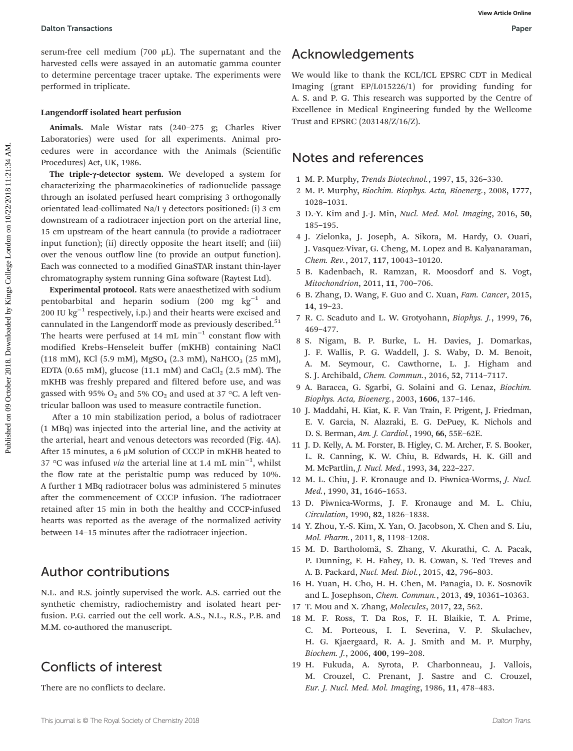serum-free cell medium (700 μL). The supernatant and the harvested cells were assayed in an automatic gamma counter to determine percentage tracer uptake. The experiments were performed in triplicate.

### Langendorff isolated heart perfusion

Animals. Male Wistar rats (240–275 g; Charles River Laboratories) were used for all experiments. Animal procedures were in accordance with the Animals (Scientific Procedures) Act, UK, 1986.

The triple-γ-detector system. We developed a system for characterizing the pharmacokinetics of radionuclide passage through an isolated perfused heart comprising 3 orthogonally orientated lead-collimated Na/I γ detectors positioned: (i) 3 cm downstream of a radiotracer injection port on the arterial line, 15 cm upstream of the heart cannula (to provide a radiotracer input function); (ii) directly opposite the heart itself; and (iii) over the venous outflow line (to provide an output function). Each was connected to a modified GinaSTAR instant thin-layer chromatography system running Gina software (Raytest Ltd).

Experimental protocol. Rats were anaesthetized with sodium pentobarbital and heparin sodium (200 mg kg−<sup>1</sup> and 200 IU kg<sup> $-1$ </sup> respectively, i.p.) and their hearts were excised and cannulated in the Langendorff mode as previously described.<sup>51</sup> The hearts were perfused at 14 mL min<sup>-1</sup> constant flow with modified Krebs–Henseleit buffer (mKHB) containing NaCl  $(118 \text{ mM})$ , KCl  $(5.9 \text{ mM})$ , MgSO<sub>4</sub>  $(2.3 \text{ mM})$ , NaHCO<sub>3</sub>  $(25 \text{ mM})$ , EDTA (0.65 mM), glucose (11.1 mM) and CaCl<sub>2</sub> (2.5 mM). The mKHB was freshly prepared and filtered before use, and was gassed with 95%  $O_2$  and 5%  $CO_2$  and used at 37 °C. A left ventricular balloon was used to measure contractile function. Dalton Transactions<br>
by seem-free cell meeting (700 µ1). The supernament and the **ACknowledgements**<br>
hare have a significant an anomatic genuine center we would like to this results to the<br>subsequential in the college lik

After a 10 min stabilization period, a bolus of radiotracer (1 MBq) was injected into the arterial line, and the activity at the arterial, heart and venous detectors was recorded (Fig. 4A). After 15 minutes, a 6 μM solution of CCCP in mKHB heated to 37 °C was infused *via* the arterial line at 1.4 mL min<sup>-1</sup>, whilst the flow rate at the peristaltic pump was reduced by 10%. A further 1 MBq radiotracer bolus was administered 5 minutes after the commencement of CCCP infusion. The radiotracer retained after 15 min in both the healthy and CCCP-infused hearts was reported as the average of the normalized activity between 14–15 minutes after the radiotracer injection.

### Author contributions

N.L. and R.S. jointly supervised the work. A.S. carried out the synthetic chemistry, radiochemistry and isolated heart perfusion. P.G. carried out the cell work. A.S., N.L., R.S., P.B. and M.M. co-authored the manuscript.

## Conflicts of interest

There are no conflicts to declare.

## Acknowledgements

We would like to thank the KCL/ICL EPSRC CDT in Medical Imaging (grant EP/L015226/1) for providing funding for A. S. and P. G. This research was supported by the Centre of Excellence in Medical Engineering funded by the Wellcome Trust and EPSRC (203148/Z/16/Z).

### Notes and references

- 1 M. P. Murphy, Trends Biotechnol., 1997, 15, 326–330.
- 2 M. P. Murphy, Biochim. Biophys. Acta, Bioenerg., 2008, 1777, 1028–1031.
- 3 D.-Y. Kim and J.-J. Min, Nucl. Med. Mol. Imaging, 2016, 50, 185–195.
- 4 J. Zielonka, J. Joseph, A. Sikora, M. Hardy, O. Ouari, J. Vasquez-Vivar, G. Cheng, M. Lopez and B. Kalyanaraman, Chem. Rev., 2017, 117, 10043–10120.
- 5 B. Kadenbach, R. Ramzan, R. Moosdorf and S. Vogt, Mitochondrion, 2011, 11, 700–706.
- 6 B. Zhang, D. Wang, F. Guo and C. Xuan, Fam. Cancer, 2015, 14, 19–23.
- 7 R. C. Scaduto and L. W. Grotyohann, Biophys. J., 1999, 76, 469–477.
- 8 S. Nigam, B. P. Burke, L. H. Davies, J. Domarkas, J. F. Wallis, P. G. Waddell, J. S. Waby, D. M. Benoit, A. M. Seymour, C. Cawthorne, L. J. Higham and S. J. Archibald, Chem. Commun., 2016, 52, 7114–7117.
- 9 A. Baracca, G. Sgarbi, G. Solaini and G. Lenaz, Biochim. Biophys. Acta, Bioenerg., 2003, 1606, 137–146.
- 10 J. Maddahi, H. Kiat, K. F. Van Train, F. Prigent, J. Friedman, E. V. Garcia, N. Alazraki, E. G. DePuey, K. Nichols and D. S. Berman, Am. J. Cardiol., 1990, 66, 55E–62E.
- 11 J. D. Kelly, A. M. Forster, B. Higley, C. M. Archer, F. S. Booker, L. R. Canning, K. W. Chiu, B. Edwards, H. K. Gill and M. McPartlin, J. Nucl. Med., 1993, 34, 222–227.
- 12 M. L. Chiu, J. F. Kronauge and D. Piwnica-Worms, J. Nucl. Med., 1990, 31, 1646–1653.
- 13 D. Piwnica-Worms, J. F. Kronauge and M. L. Chiu, Circulation, 1990, 82, 1826–1838.
- 14 Y. Zhou, Y.-S. Kim, X. Yan, O. Jacobson, X. Chen and S. Liu, Mol. Pharm., 2011, 8, 1198–1208.
- 15 M. D. Bartholomä, S. Zhang, V. Akurathi, C. A. Pacak, P. Dunning, F. H. Fahey, D. B. Cowan, S. Ted Treves and A. B. Packard, Nucl. Med. Biol., 2015, 42, 796–803.
- 16 H. Yuan, H. Cho, H. H. Chen, M. Panagia, D. E. Sosnovik and L. Josephson, Chem. Commun., 2013, 49, 10361–10363.
- 17 T. Mou and X. Zhang, Molecules, 2017, 22, 562.
- 18 M. F. Ross, T. Da Ros, F. H. Blaikie, T. A. Prime, C. M. Porteous, I. I. Severina, V. P. Skulachev, H. G. Kjaergaard, R. A. J. Smith and M. P. Murphy, Biochem. J., 2006, 400, 199–208.
- 19 H. Fukuda, A. Syrota, P. Charbonneau, J. Vallois, M. Crouzel, C. Prenant, J. Sastre and C. Crouzel, Eur. J. Nucl. Med. Mol. Imaging, 1986, 11, 478–483.